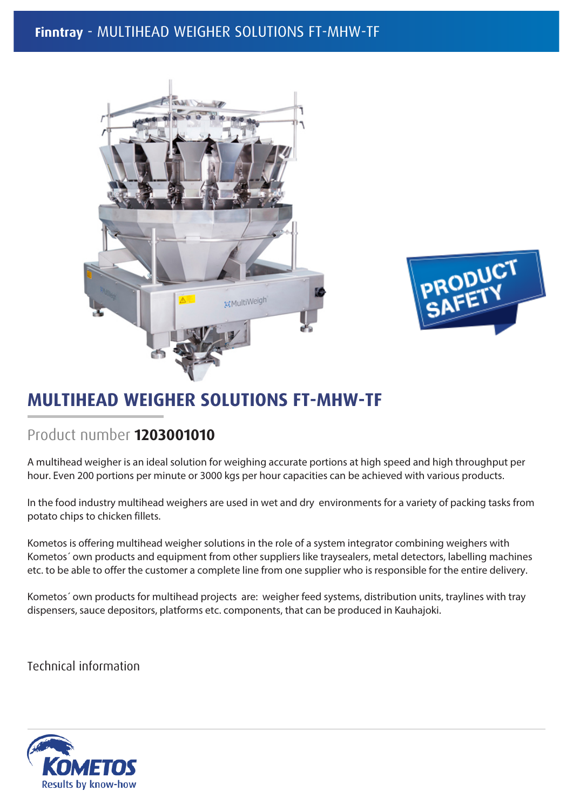## **Finntray** - MULTIHEAD WEIGHER SOLUTIONS FT-MHW-TF





## **MULTIHEAD WEIGHER SOLUTIONS FT-MHW-TF**

## Product number **1203001010**

A multihead weigher is an ideal solution for weighing accurate portions at high speed and high throughput per hour. Even 200 portions per minute or 3000 kgs per hour capacities can be achieved with various products.

In the food industry multihead weighers are used in wet and dry environments for a variety of packing tasks from potato chips to chicken fillets.

Kometos is offering multihead weigher solutions in the role of a system integrator combining weighers with Kometos´ own products and equipment from other suppliers like traysealers, metal detectors, labelling machines etc. to be able to offer the customer a complete line from one supplier who is responsible for the entire delivery.

Kometos´ own products for multihead projects are: weigher feed systems, distribution units, traylines with tray dispensers, sauce depositors, platforms etc. components, that can be produced in Kauhajoki.

**Technical information**